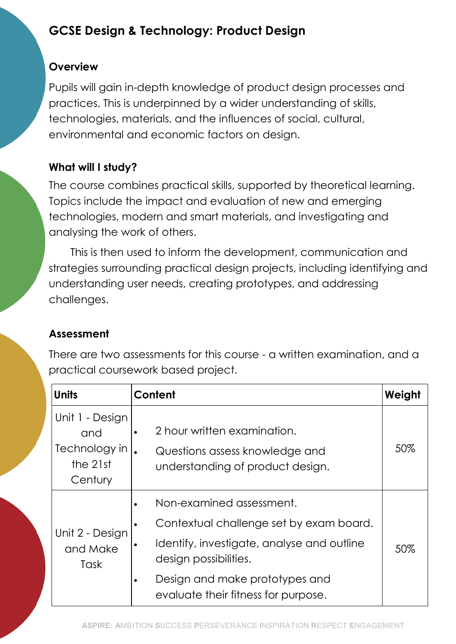# GCSE Design & Technology: Product Design

#### **Overview**

Pupils will gain in-depth knowledge of product design processes and practices. This is underpinned by a wider understanding of skills, technologies, materials, and the influences of social, cultural, environmental and economic factors on design.

## What will I study?

The course combines practical skills, supported by theoretical learning. Topics include the impact and evaluation of new and emerging technologies, modern and smart materials, and investigating and analysing the work of others.

This is then used to inform the development, communication and strategies surrounding practical design projects, including identifying and understanding user needs, creating prototypes, and addressing challenges.

## Assessment

There are two assessments for this course - a written examination, and a practical coursework based project.

| <b>Units</b>                                                   | Content                                                                                                                                                                                                                               | Weight |
|----------------------------------------------------------------|---------------------------------------------------------------------------------------------------------------------------------------------------------------------------------------------------------------------------------------|--------|
| Unit 1 - Design<br>and<br>Technology in<br>the 21st<br>Century | 2 hour written examination.<br>$\bullet$<br>Questions assess knowledge and<br>understanding of product design.                                                                                                                        | 50%    |
| Unit 2 - Design<br>and Make<br>Task                            | Non-examined assessment.<br>Contextual challenge set by exam board.<br>$\bullet$<br>Identify, investigate, analyse and outline<br>٠<br>design possibilities.<br>Design and make prototypes and<br>evaluate their fitness for purpose. | 50%    |